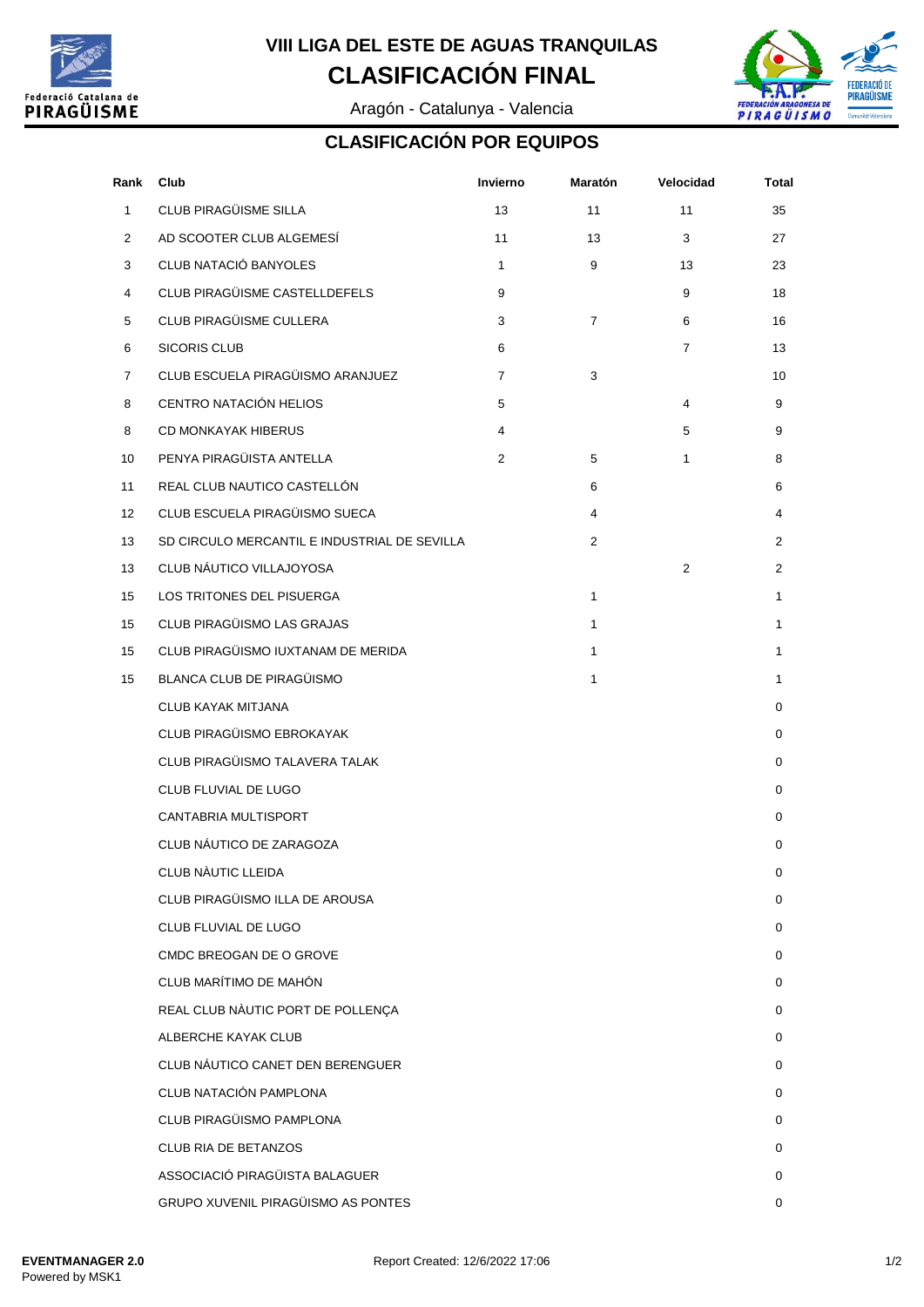

## **CLASIFICACIÓN FINAL VIII LIGA DEL ESTE DE AGUAS TRANQUILAS**

Aragón - Catalunya - Valencia



#### **CLASIFICACIÓN POR EQUIPOS**

| Rank           | Club                                         | Invierno       | Maratón        | Velocidad      | Total          |
|----------------|----------------------------------------------|----------------|----------------|----------------|----------------|
| $\mathbf{1}$   | CLUB PIRAGÜISME SILLA                        | 13             | 11             | 11             | 35             |
| $\overline{2}$ | AD SCOOTER CLUB ALGEMESÍ                     | 11             | 13             | 3              | 27             |
| 3              | CLUB NATACIÓ BANYOLES                        | $\mathbf{1}$   | 9              | 13             | 23             |
| 4              | CLUB PIRAGÜISME CASTELLDEFELS                | 9              |                | 9              | 18             |
| 5              | CLUB PIRAGÜISME CULLERA                      | 3              | $\overline{7}$ | 6              | 16             |
| 6              | <b>SICORIS CLUB</b>                          | 6              |                | $\overline{7}$ | 13             |
| $\overline{7}$ | CLUB ESCUELA PIRAGÜISMO ARANJUEZ             | $\overline{7}$ | 3              |                | 10             |
| 8              | CENTRO NATACIÓN HELIOS                       | 5              |                | 4              | 9              |
| 8              | <b>CD MONKAYAK HIBERUS</b>                   | 4              |                | 5              | 9              |
| 10             | PENYA PIRAGÜISTA ANTELLA                     | $\overline{2}$ | 5              | 1              | 8              |
| 11             | REAL CLUB NAUTICO CASTELLÓN                  |                | 6              |                | 6              |
| 12             | CLUB ESCUELA PIRAGÜISMO SUECA                |                | 4              |                | 4              |
| 13             | SD CIRCULO MERCANTIL E INDUSTRIAL DE SEVILLA |                | $\overline{2}$ |                | $\overline{2}$ |
| 13             | CLUB NÁUTICO VILLAJOYOSA                     |                |                | 2              | $\overline{2}$ |
| 15             | LOS TRITONES DEL PISUERGA                    |                | 1              |                | 1              |
| 15             | CLUB PIRAGÜISMO LAS GRAJAS                   |                | $\mathbf{1}$   |                | 1              |
| 15             | CLUB PIRAGÜISMO IUXTANAM DE MERIDA           |                | 1              |                | 1              |
| 15             | <b>BLANCA CLUB DE PIRAGÜISMO</b>             |                | 1              |                | 1              |
|                | <b>CLUB KAYAK MITJANA</b>                    |                |                |                | $\mathbf 0$    |
|                | CLUB PIRAGÜISMO EBROKAYAK                    |                |                |                | 0              |
|                | CLUB PIRAGÜISMO TALAVERA TALAK               |                |                |                | $\mathbf 0$    |
|                | CLUB FLUVIAL DE LUGO                         |                |                |                | 0              |
|                | CANTABRIA MULTISPORT                         |                |                |                | 0              |
|                | CLUB NÁUTICO DE ZARAGOZA                     |                |                |                | 0              |
|                | CLUB NÀUTIC LLEIDA                           |                |                |                | 0              |
|                | CLUB PIRAGÜISMO ILLA DE AROUSA               |                |                |                | 0              |
|                | CLUB FLUVIAL DE LUGO                         |                |                |                | 0              |
|                | CMDC BREOGAN DE O GROVE                      |                |                |                | 0              |
|                | CLUB MARÍTIMO DE MAHÓN                       |                |                |                | 0              |
|                | REAL CLUB NÀUTIC PORT DE POLLENÇA            |                |                |                | 0              |
|                | ALBERCHE KAYAK CLUB                          |                |                |                | 0              |
|                | CLUB NÁUTICO CANET DEN BERENGUER             |                |                |                | 0              |
|                | CLUB NATACIÓN PAMPLONA                       |                |                |                | 0              |
|                | CLUB PIRAGÜISMO PAMPLONA                     |                |                |                | $\Omega$       |
|                | <b>CLUB RIA DE BETANZOS</b>                  |                |                |                | 0              |
|                | ASSOCIACIÓ PIRAGÜISTA BALAGUER               |                |                |                | 0              |
|                | GRUPO XUVENIL PIRAGÜISMO AS PONTES           |                |                |                | 0              |